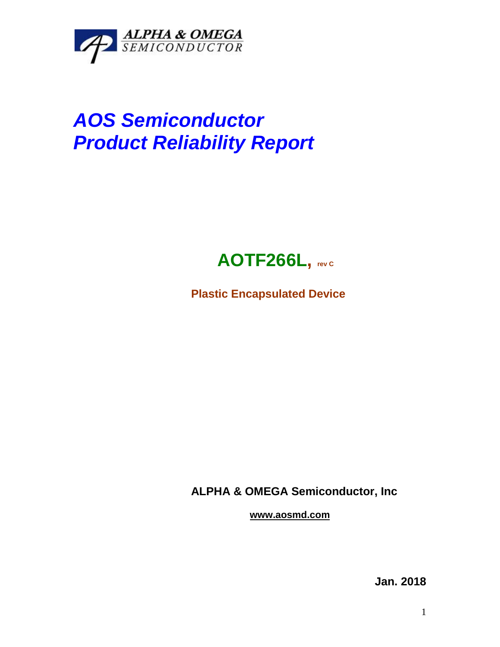

## *AOS Semiconductor Product Reliability Report*



**Plastic Encapsulated Device**

**ALPHA & OMEGA Semiconductor, Inc**

**www.aosmd.com**

**Jan. 2018**